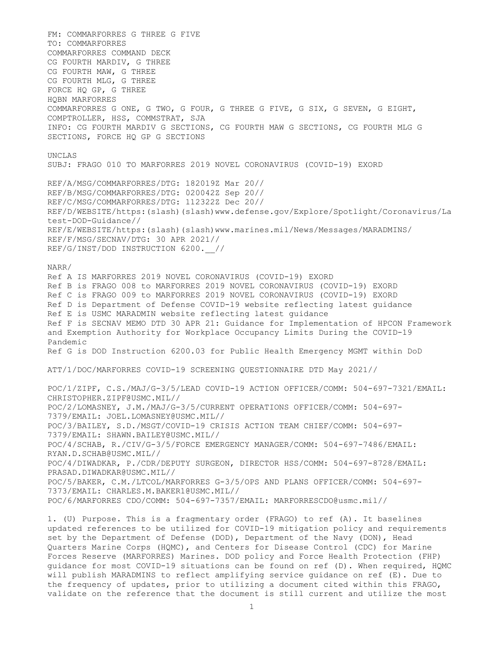FM: COMMARFORRES G THREE G FIVE TO: COMMARFORRES COMMARFORRES COMMAND DECK CG FOURTH MARDIV, G THREE CG FOURTH MAW, G THREE CG FOURTH MLG, G THREE FORCE HQ GP, G THREE HQBN MARFORRES COMMARFORRES G ONE, G TWO, G FOUR, G THREE G FIVE, G SIX, G SEVEN, G EIGHT, COMPTROLLER, HSS, COMMSTRAT, SJA INFO: CG FOURTH MARDIV G SECTIONS, CG FOURTH MAW G SECTIONS, CG FOURTH MLG G SECTIONS, FORCE HQ GP G SECTIONS UNCLAS SUBJ: FRAGO 010 TO MARFORRES 2019 NOVEL CORONAVIRUS (COVID-19) EXORD REF/A/MSG/COMMARFORRES/DTG: 182019Z Mar 20// REF/B/MSG/COMMARFORRES/DTG: 020042Z Sep 20// REF/C/MSG/COMMARFORRES/DTG: 112322Z Dec 20// REF/D/WEBSITE/https:(slash)(slash)www.defense.gov/Explore/Spotlight/Coronavirus/La test-DOD-Guidance// REF/E/WEBSITE/https:(slash)(slash)www.marines.mil/News/Messages/MARADMINS/ REF/F/MSG/SECNAV/DTG: 30 APR 2021// REF/G/INST/DOD INSTRUCTION 6200.\_\_// NARR/ Ref A IS MARFORRES 2019 NOVEL CORONAVIRUS (COVID-19) EXORD Ref B is FRAGO 008 to MARFORRES 2019 NOVEL CORONAVIRUS (COVID-19) EXORD Ref C is FRAGO 009 to MARFORRES 2019 NOVEL CORONAVIRUS (COVID-19) EXORD Ref D is Department of Defense COVID-19 website reflecting latest guidance Ref E is USMC MARADMIN website reflecting latest guidance Ref F is SECNAV MEMO DTD 30 APR 21: Guidance for Implementation of HPCON Framework and Exemption Authority for Workplace Occupancy Limits During the COVID-19 Pandemic Ref G is DOD Instruction 6200.03 for Public Health Emergency MGMT within DoD ATT/1/DOC/MARFORRES COVID-19 SCREENING QUESTIONNAIRE DTD May 2021// POC/1/ZIPF, C.S./MAJ/G-3/5/LEAD COVID-19 ACTION OFFICER/COMM: 504-697-7321/EMAIL: CHRISTOPHER.ZIPF@USMC.MIL// POC/2/LOMASNEY, J.M./MAJ/G-3/5/CURRENT OPERATIONS OFFICER/COMM: 504-697- 7379/EMAIL: JOEL.LOMASNEY@USMC.MIL// POC/3/BAILEY, S.D./MSGT/COVID-19 CRISIS ACTION TEAM CHIEF/COMM: 504-697- 7379/EMAIL: SHAWN.BAILEY@USMC.MIL// POC/4/SCHAB, R./CIV/G-3/5/FORCE EMERGENCY MANAGER/COMM: 504-697-7486/EMAIL: RYAN.D.SCHAB@USMC.MIL// POC/4/DIWADKAR, P./CDR/DEPUTY SURGEON, DIRECTOR HSS/COMM: 504-697-8728/EMAIL: PRASAD.DIWADKAR@USMC.MIL// POC/5/BAKER, C.M./LTCOL/MARFORRES G-3/5/OPS AND PLANS OFFICER/COMM: 504-697- 7373/EMAIL: CHARLES.M.BAKER1@USMC.MIL// POC/6/MARFORRES CDO/COMM: 504-697-7357/EMAIL: MARFORRESCDO@usmc.mil// 1. (U) Purpose. This is a fragmentary order (FRAGO) to ref (A). It baselines updated references to be utilized for COVID-19 mitigation policy and requirements set by the Department of Defense (DOD), Department of the Navy (DON), Head Quarters Marine Corps (HQMC), and Centers for Disease Control (CDC) for Marine Forces Reserve (MARFORRES) Marines. DOD policy and Force Health Protection (FHP)

guidance for most COVID-19 situations can be found on ref (D). When required, HQMC will publish MARADMINS to reflect amplifying service guidance on ref (E). Due to the frequency of updates, prior to utilizing a document cited within this FRAGO, validate on the reference that the document is still current and utilize the most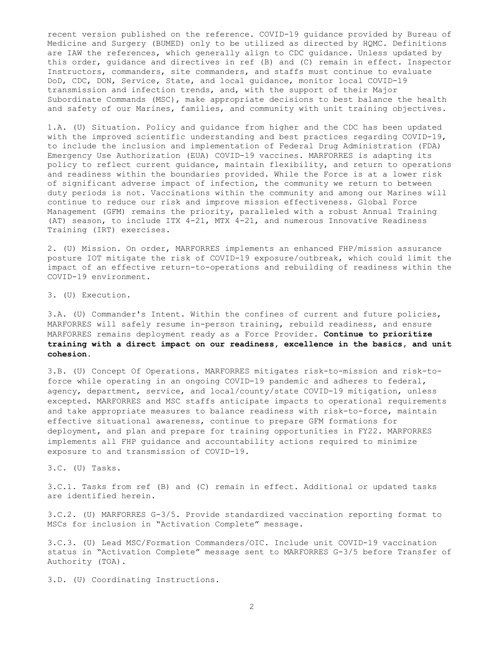recent version published on the reference. COVID-19 guidance provided by Bureau of Medicine and Surgery (BUMED) only to be utilized as directed by HQMC. Definitions are IAW the references, which generally align to CDC guidance. Unless updated by this order, guidance and directives in ref (B) and (C) remain in effect. Inspector Instructors, commanders, site commanders, and staffs must continue to evaluate DoD, CDC, DON, Service, State, and local guidance, monitor local COVID-19 transmission and infection trends, and, with the support of their Major Subordinate Commands (MSC), make appropriate decisions to best balance the health and safety of our Marines, families, and community with unit training objectives.

1.A. (U) Situation. Policy and guidance from higher and the CDC has been updated with the improved scientific understanding and best practices regarding COVID-19, to include the inclusion and implementation of Federal Drug Administration (FDA) Emergency Use Authorization (EUA) COVID-19 vaccines. MARFORRES is adapting its policy to reflect current guidance, maintain flexibility, and return to operations and readiness within the boundaries provided. While the Force is at a lower risk of significant adverse impact of infection, the community we return to between duty periods is not. Vaccinations within the community and among our Marines will continue to reduce our risk and improve mission effectiveness. Global Force Management (GFM) remains the priority, paralleled with a robust Annual Training (AT) season, to include ITX 4-21, MTX 4-21, and numerous Innovative Readiness Training (IRT) exercises.

2. (U) Mission. On order, MARFORRES implements an enhanced FHP/mission assurance posture IOT mitigate the risk of COVID-19 exposure/outbreak, which could limit the impact of an effective return-to-operations and rebuilding of readiness within the COVID-19 environment.

3. (U) Execution.

3.A. (U) Commander's Intent. Within the confines of current and future policies, MARFORRES will safely resume in-person training, rebuild readiness, and ensure MARFORRES remains deployment ready as a Force Provider. Continue to prioritize training with a direct impact on our readiness, excellence in the basics, and unit cohesion.

3.B. (U) Concept Of Operations. MARFORRES mitigates risk-to-mission and risk-toforce while operating in an ongoing COVID-19 pandemic and adheres to federal, agency, department, service, and local/county/state COVID-19 mitigation, unless excepted. MARFORRES and MSC staffs anticipate impacts to operational requirements and take appropriate measures to balance readiness with risk-to-force, maintain effective situational awareness, continue to prepare GFM formations for deployment, and plan and prepare for training opportunities in FY22. MARFORRES implements all FHP guidance and accountability actions required to minimize exposure to and transmission of COVID-19.

3.C. (U) Tasks.

3.C.1. Tasks from ref (B) and (C) remain in effect. Additional or updated tasks are identified herein.

3.C.2. (U) MARFORRES G-3/5. Provide standardized vaccination reporting format to MSCs for inclusion in "Activation Complete" message.

3.C.3. (U) Lead MSC/Formation Commanders/OIC. Include unit COVID-19 vaccination status in "Activation Complete" message sent to MARFORRES G-3/5 before Transfer of Authority (TOA).

3.D. (U) Coordinating Instructions.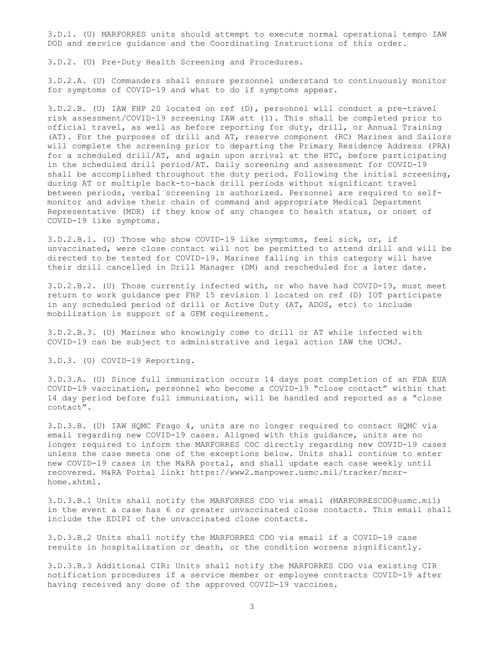3.D.1. (U) MARFORRES units should attempt to execute normal operational tempo IAW DOD and service guidance and the Coordinating Instructions of this order.

3.D.2. (U) Pre-Duty Health Screening and Procedures.

3.D.2.A. (U) Commanders shall ensure personnel understand to continuously monitor for symptoms of COVID-19 and what to do if symptoms appear.

3.D.2.B. (U) IAW FHP 20 located on ref (D), personnel will conduct a pre-travel risk assessment/COVID-19 screening IAW att (1). This shall be completed prior to official travel, as well as before reporting for duty, drill, or Annual Training (AT). For the purposes of drill and AT, reserve component (RC) Marines and Sailors will complete the screening prior to departing the Primary Residence Address (PRA) for a scheduled drill/AT, and again upon arrival at the HTC, before participating in the scheduled drill period/AT. Daily screening and assessment for COVID-19 shall be accomplished throughout the duty period. Following the initial screening, during AT or multiple back-to-back drill periods without significant travel between periods, verbal screening is authorized. Personnel are required to selfmonitor and advise their chain of command and appropriate Medical Department Representative (MDR) if they know of any changes to health status, or onset of COVID-19 like symptoms.

3.D.2.B.1. (U) Those who show COVID-19 like symptoms, feel sick, or, if unvaccinated, were close contact will not be permitted to attend drill and will be directed to be tested for COVID-19. Marines falling in this category will have their drill cancelled in Drill Manager (DM) and rescheduled for a later date.

3.D.2.B.2. (U) Those currently infected with, or who have had COVID-19, must meet return to work guidance per FHP 15 revision 1 located on ref (D) IOT participate in any scheduled period of drill or Active Duty (AT, ADOS, etc) to include mobilization is support of a GFM requirement.

3.D.2.B.3. (U) Marines who knowingly come to drill or AT while infected with COVID-19 can be subject to administrative and legal action IAW the UCMJ.

3.D.3. (U) COVID-19 Reporting.

3.D.3.A. (U) Since full immunization occurs 14 days post completion of an FDA EUA COVID-19 vaccination, personnel who become a COVID-19 "close contact" within that 14 day period before full immunization, will be handled and reported as a "close contact".

3.D.3.B. (U) IAW HQMC Frago 4, units are no longer required to contact HQMC via email regarding new COVID-19 cases. Aligned with this guidance, units are no longer required to inform the MARFORRES COC directly regarding new COVID-19 cases unless the case meets one of the exceptions below. Units shall continue to enter new COVID-19 cases in the M&RA portal, and shall update each case weekly until recovered. M&RA Portal link: https://www2.manpower.usmc.mil/tracker/mcsrhome.xhtml.

3.D.3.B.1 Units shall notify the MARFORRES CDO via email (MARFORRESCDO@usmc.mil) in the event a case has 6 or greater unvaccinated close contacts. This email shall include the EDIPI of the unvaccinated close contacts.

3.D.3.B.2 Units shall notify the MARFORRES CDO via email if a COVID-19 case results in hospitalization or death, or the condition worsens significantly.

3.D.3.B.3 Additional CIR: Units shall notify the MARFORRES CDO via existing CIR notification procedures if a service member or employee contracts COVID-19 after having received any dose of the approved COVID-19 vaccines.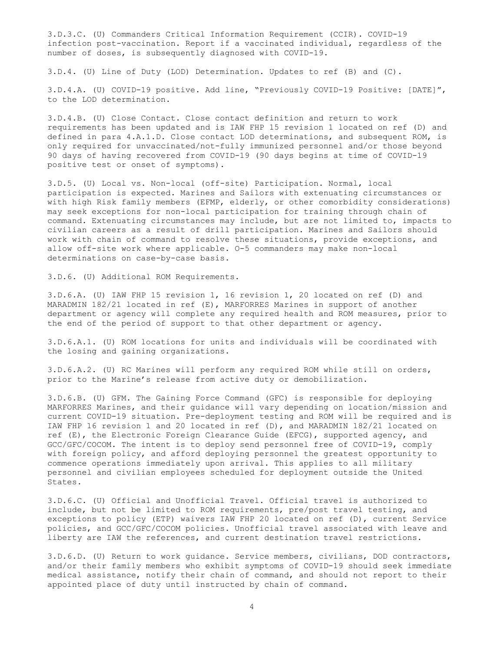3.D.3.C. (U) Commanders Critical Information Requirement (CCIR). COVID-19 infection post-vaccination. Report if a vaccinated individual, regardless of the number of doses, is subsequently diagnosed with COVID-19.

3.D.4. (U) Line of Duty (LOD) Determination. Updates to ref (B) and (C).

3.D.4.A. (U) COVID-19 positive. Add line, "Previously COVID-19 Positive: [DATE]", to the LOD determination.

3.D.4.B. (U) Close Contact. Close contact definition and return to work requirements has been updated and is IAW FHP 15 revision 1 located on ref (D) and defined in para 4.A.1.D. Close contact LOD determinations, and subsequent ROM, is only required for unvaccinated/not-fully immunized personnel and/or those beyond 90 days of having recovered from COVID-19 (90 days begins at time of COVID-19 positive test or onset of symptoms).

3.D.5. (U) Local vs. Non-local (off-site) Participation. Normal, local participation is expected. Marines and Sailors with extenuating circumstances or with high Risk family members (EFMP, elderly, or other comorbidity considerations) may seek exceptions for non-local participation for training through chain of command. Extenuating circumstances may include, but are not limited to, impacts to civilian careers as a result of drill participation. Marines and Sailors should work with chain of command to resolve these situations, provide exceptions, and allow off-site work where applicable. O-5 commanders may make non-local determinations on case-by-case basis.

3.D.6. (U) Additional ROM Requirements.

3.D.6.A. (U) IAW FHP 15 revision 1, 16 revision 1, 20 located on ref (D) and MARADMIN 182/21 located in ref (E), MARFORRES Marines in support of another department or agency will complete any required health and ROM measures, prior to the end of the period of support to that other department or agency.

3.D.6.A.1. (U) ROM locations for units and individuals will be coordinated with the losing and gaining organizations.

3.D.6.A.2. (U) RC Marines will perform any required ROM while still on orders, prior to the Marine's release from active duty or demobilization.

3.D.6.B. (U) GFM. The Gaining Force Command (GFC) is responsible for deploying MARFORRES Marines, and their guidance will vary depending on location/mission and current COVID-19 situation. Pre-deployment testing and ROM will be required and is IAW FHP 16 revision 1 and 20 located in ref (D), and MARADMIN 182/21 located on ref (E), the Electronic Foreign Clearance Guide (EFCG), supported agency, and GCC/GFC/COCOM. The intent is to deploy send personnel free of COVID-19, comply with foreign policy, and afford deploying personnel the greatest opportunity to commence operations immediately upon arrival. This applies to all military personnel and civilian employees scheduled for deployment outside the United States.

3.D.6.C. (U) Official and Unofficial Travel. Official travel is authorized to include, but not be limited to ROM requirements, pre/post travel testing, and exceptions to policy (ETP) waivers IAW FHP 20 located on ref (D), current Service policies, and GCC/GFC/COCOM policies. Unofficial travel associated with leave and liberty are IAW the references, and current destination travel restrictions.

3.D.6.D. (U) Return to work guidance. Service members, civilians, DOD contractors, and/or their family members who exhibit symptoms of COVID-19 should seek immediate medical assistance, notify their chain of command, and should not report to their appointed place of duty until instructed by chain of command.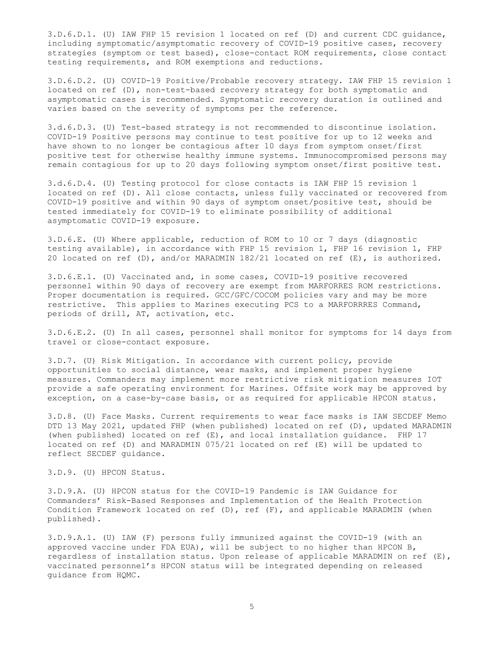3.D.6.D.1. (U) IAW FHP 15 revision 1 located on ref (D) and current CDC guidance, including symptomatic/asymptomatic recovery of COVID-19 positive cases, recovery strategies (symptom or test based), close-contact ROM requirements, close contact testing requirements, and ROM exemptions and reductions.

3.D.6.D.2. (U) COVID-19 Positive/Probable recovery strategy. IAW FHP 15 revision 1 located on ref (D), non-test-based recovery strategy for both symptomatic and asymptomatic cases is recommended. Symptomatic recovery duration is outlined and varies based on the severity of symptoms per the reference.

3.d.6.D.3. (U) Test-based strategy is not recommended to discontinue isolation. COVID-19 Positive persons may continue to test positive for up to 12 weeks and have shown to no longer be contagious after 10 days from symptom onset/first positive test for otherwise healthy immune systems. Immunocompromised persons may remain contagious for up to 20 days following symptom onset/first positive test.

3.d.6.D.4. (U) Testing protocol for close contacts is IAW FHP 15 revision 1 located on ref (D). All close contacts, unless fully vaccinated or recovered from COVID-19 positive and within 90 days of symptom onset/positive test, should be tested immediately for COVID-19 to eliminate possibility of additional asymptomatic COVID-19 exposure.

3.D.6.E. (U) Where applicable, reduction of ROM to 10 or 7 days (diagnostic testing available), in accordance with FHP 15 revision 1, FHP 16 revision 1, FHP 20 located on ref (D), and/or MARADMIN 182/21 located on ref (E), is authorized.

3.D.6.E.1. (U) Vaccinated and, in some cases, COVID-19 positive recovered personnel within 90 days of recovery are exempt from MARFORRES ROM restrictions. Proper documentation is required. GCC/GFC/COCOM policies vary and may be more restrictive. This applies to Marines executing PCS to a MARFORRRES Command, periods of drill, AT, activation, etc.

3.D.6.E.2. (U) In all cases, personnel shall monitor for symptoms for 14 days from travel or close-contact exposure.

3.D.7. (U) Risk Mitigation. In accordance with current policy, provide opportunities to social distance, wear masks, and implement proper hygiene measures. Commanders may implement more restrictive risk mitigation measures IOT provide a safe operating environment for Marines. Offsite work may be approved by exception, on a case-by-case basis, or as required for applicable HPCON status.

3.D.8. (U) Face Masks. Current requirements to wear face masks is IAW SECDEF Memo DTD 13 May 2021, updated FHP (when published) located on ref (D), updated MARADMIN (when published) located on ref (E), and local installation guidance. FHP 17 located on ref (D) and MARADMIN 075/21 located on ref (E) will be updated to reflect SECDEF guidance.

3.D.9. (U) HPCON Status.

3.D.9.A. (U) HPCON status for the COVID-19 Pandemic is IAW Guidance for Commanders' Risk-Based Responses and Implementation of the Health Protection Condition Framework located on ref (D), ref (F), and applicable MARADMIN (when published).

3.D.9.A.1. (U) IAW (F) persons fully immunized against the COVID-19 (with an approved vaccine under FDA EUA), will be subject to no higher than HPCON B, regardless of installation status. Upon release of applicable MARADMIN on ref (E), vaccinated personnel's HPCON status will be integrated depending on released guidance from HQMC.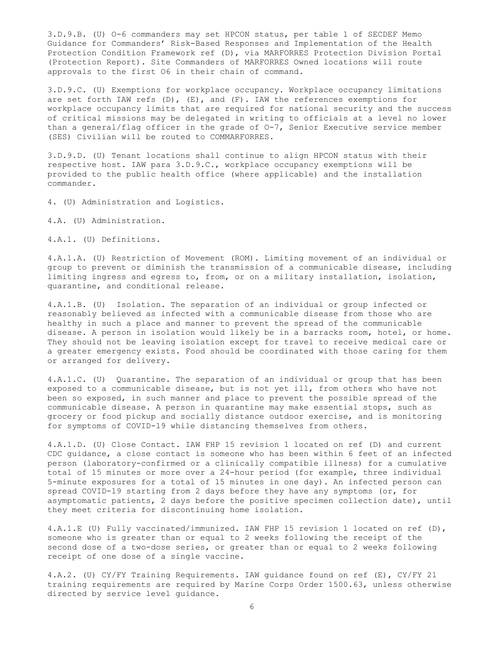3.D.9.B. (U) O-6 commanders may set HPCON status, per table 1 of SECDEF Memo Guidance for Commanders' Risk-Based Responses and Implementation of the Health Protection Condition Framework ref (D), via MARFORRES Protection Division Portal (Protection Report). Site Commanders of MARFORRES Owned locations will route approvals to the first O6 in their chain of command.

3.D.9.C. (U) Exemptions for workplace occupancy. Workplace occupancy limitations are set forth IAW refs (D), (E), and (F). IAW the references exemptions for workplace occupancy limits that are required for national security and the success of critical missions may be delegated in writing to officials at a level no lower than a general/flag officer in the grade of O-7, Senior Executive service member (SES) Civilian will be routed to COMMARFORRES.

3.D.9.D. (U) Tenant locations shall continue to align HPCON status with their respective host. IAW para 3.D.9.C., workplace occupancy exemptions will be provided to the public health office (where applicable) and the installation commander.

4. (U) Administration and Logistics.

4.A. (U) Administration.

4.A.1. (U) Definitions.

4.A.1.A. (U) Restriction of Movement (ROM). Limiting movement of an individual or group to prevent or diminish the transmission of a communicable disease, including limiting ingress and egress to, from, or on a military installation, isolation, quarantine, and conditional release.

4.A.1.B. (U) Isolation. The separation of an individual or group infected or reasonably believed as infected with a communicable disease from those who are healthy in such a place and manner to prevent the spread of the communicable disease. A person in isolation would likely be in a barracks room, hotel, or home. They should not be leaving isolation except for travel to receive medical care or a greater emergency exists. Food should be coordinated with those caring for them or arranged for delivery.

4.A.1.C. (U) Quarantine. The separation of an individual or group that has been exposed to a communicable disease, but is not yet ill, from others who have not been so exposed, in such manner and place to prevent the possible spread of the communicable disease. A person in quarantine may make essential stops, such as grocery or food pickup and socially distance outdoor exercise, and is monitoring for symptoms of COVID-19 while distancing themselves from others.

4.A.1.D. (U) Close Contact. IAW FHP 15 revision 1 located on ref (D) and current CDC guidance, a close contact is someone who has been within 6 feet of an infected person (laboratory-confirmed or a clinically compatible illness) for a cumulative total of 15 minutes or more over a 24-hour period (for example, three individual 5-minute exposures for a total of 15 minutes in one day). An infected person can spread COVID-19 starting from 2 days before they have any symptoms (or, for asymptomatic patients, 2 days before the positive specimen collection date), until they meet criteria for discontinuing home isolation.

4.A.1.E (U) Fully vaccinated/immunized. IAW FHP 15 revision 1 located on ref (D), someone who is greater than or equal to 2 weeks following the receipt of the second dose of a two-dose series, or greater than or equal to 2 weeks following receipt of one dose of a single vaccine.

4.A.2. (U) CY/FY Training Requirements. IAW guidance found on ref (E), CY/FY 21 training requirements are required by Marine Corps Order 1500.63, unless otherwise directed by service level guidance.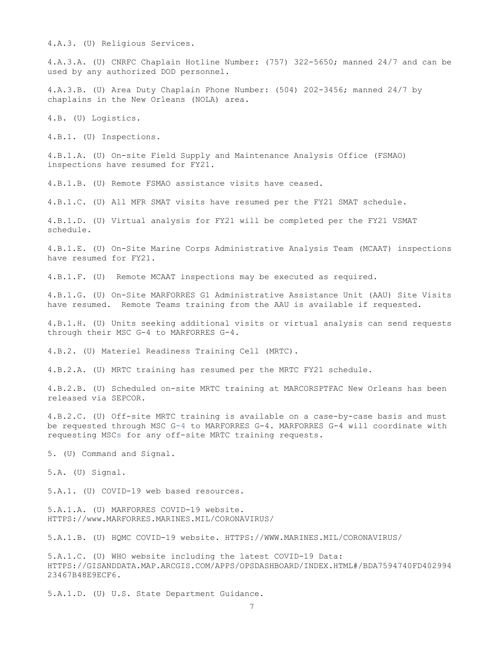4.A.3. (U) Religious Services.

4.A.3.A. (U) CNRFC Chaplain Hotline Number: (757) 322-5650; manned 24/7 and can be used by any authorized DOD personnel.

4.A.3.B. (U) Area Duty Chaplain Phone Number: (504) 202-3456; manned 24/7 by chaplains in the New Orleans (NOLA) area.

4.B. (U) Logistics.

4.B.1. (U) Inspections.

4.B.1.A. (U) On-site Field Supply and Maintenance Analysis Office (FSMAO) inspections have resumed for FY21.

4.B.1.B. (U) Remote FSMAO assistance visits have ceased.

4.B.1.C. (U) All MFR SMAT visits have resumed per the FY21 SMAT schedule.

4.B.1.D. (U) Virtual analysis for FY21 will be completed per the FY21 VSMAT schedule.

4.B.1.E. (U) On-Site Marine Corps Administrative Analysis Team (MCAAT) inspections have resumed for FY21.

4.B.1.F. (U) Remote MCAAT inspections may be executed as required.

4.B.1.G. (U) On-Site MARFORRES G1 Administrative Assistance Unit (AAU) Site Visits have resumed. Remote Teams training from the AAU is available if requested.

4.B.1.H. (U) Units seeking additional visits or virtual analysis can send requests through their MSC G-4 to MARFORRES G-4.

4.B.2. (U) Materiel Readiness Training Cell (MRTC).

4.B.2.A. (U) MRTC training has resumed per the MRTC FY21 schedule.

4.B.2.B. (U) Scheduled on-site MRTC training at MARCORSPTFAC New Orleans has been released via SEPCOR.

4.B.2.C. (U) Off-site MRTC training is available on a case-by-case basis and must be requested through MSC G-4 to MARFORRES G-4. MARFORRES G-4 will coordinate with requesting MSCs for any off-site MRTC training requests.

5. (U) Command and Signal.

5.A. (U) Signal.

5.A.1. (U) COVID-19 web based resources.

5.A.1.A. (U) MARFORRES COVID-19 website. HTTPS://www.MARFORRES.MARINES.MIL/CORONAVIRUS/

5.A.1.B. (U) HQMC COVID-19 website. HTTPS://WWW.MARINES.MIL/CORONAVIRUS/

5.A.1.C. (U) WHO website including the latest COVID-19 Data: HTTPS://GISANDDATA.MAP.ARCGIS.COM/APPS/OPSDASHBOARD/INDEX.HTML#/BDA7594740FD402994 23467B48E9ECF6.

5.A.1.D. (U) U.S. State Department Guidance.